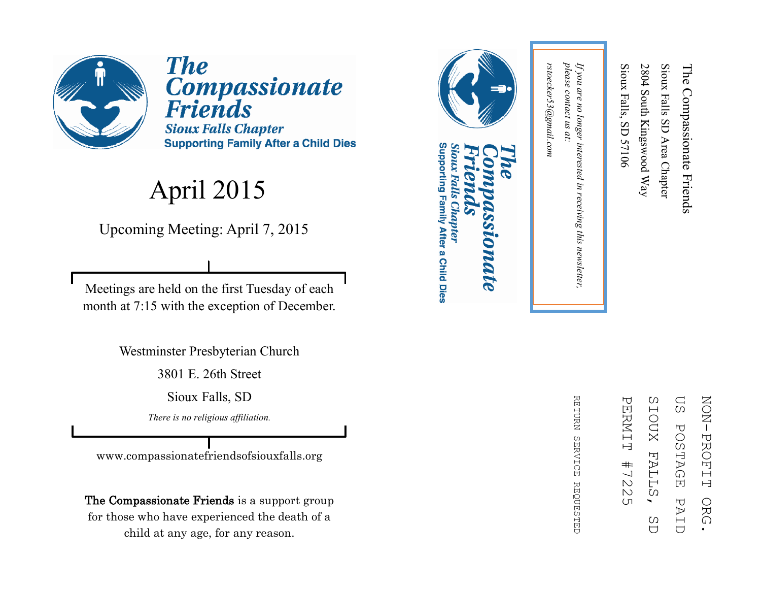

**The** Compassionate<br>Friends **Sioux Falls Chapter Supporting Family After a Child Dies** 

## April 2015

Upcoming Meeting: April 7, 2015

Meetings are held on the first Tuesday of each month at 7:15 with the exception of December.

Westminster Presbyterian Church

3801 E. 26th Street

Sioux Falls, SD

*There is no religious affiliation.*

www.compassionatefriendsofsiouxfalls.org

The Compassionate Friends is a support group for those who have experienced the death of a child at any age, for any reason.



*rstoecker53@gmail.com*

rstoecker53@gmail.com

*please contact us at:* 

please contact us at:

*If you are no longer interested in receiving this newsletter,* 

in receiving this newsletter,

If you are no longer interested

Sioux Falls, SD 57106

Sioux Falls, SD 57106

2804 South Kingswood Way

2804 South Kingswood Way

Sioux Falls SD Area Chapter

Sioux Falls SD Area Chapter

The Compassionate Friends

The Compassionate Friends

## Supporting Family After a Child Dies Sioux Falls Chapter **DINALE**

ΩS SIOUX **NON-PROFIT** ZOZI PROFIT ORG. PERNIT PERMIT #7225 SIOUX FALLS, SD US POSTAGE PAID**POSTAGE FALL**  $#$  $\frac{1}{2}$  $\mathbbmss{N}$ Ω PAI ORG  $\overline{(\Pi)}$ C)  $\overline{C}$  $\overline{C}$ 

**RETDRN** REFURN SERVICE REQUESTED **SERVICE REQUESTED**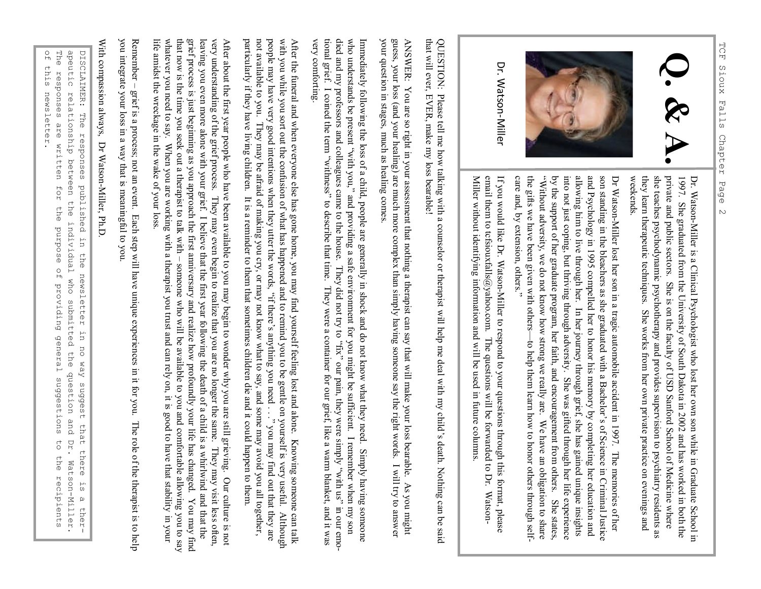



Dr. Watson-Miller

> Dr. WatsonDr. Watson-Miller is a Clinical Psychologist who lost her own son while in Graduate School in Miller is a Clinical Psychologist who lost her own son while in Graduate School in weekends. they learn therapeutic techniques. She works from her own private practice on evenings and she teaches psychodynamic psychotherapy and provides supervision to psychiatry residents as private and public sectors. She is on the faculty of USD Sanford School of Medicine where 1997. She graduated from the University of South Dakota in 2002 and has worked in both the private and public sectors. She is on the faculty of USD Sanford School of Medicine where she traches psychodynamic psychotherapy a

and Psychology in 1995 compelled her to honor his memory by completing her education and allowing him to live through her. In her journey through grief, she has gained unique insights into not just coping, but thriving th son standing in the bleachers as she graduated with a Bachelor's of Science by the support of her graduate program, her faith, and encouragement from others. She states, the gifts we have been given with others "Without adversity, we do not know how strong we really are. We have an obligation to share into not just coping, but thriving through adversity. She was gifted through her life experience allowing him to live through her. In her journey through grief, she has gained unique insights son standing in the bleachers as she graduated with a Bachelor's of Science in Criminal Justice Dr Watson in Criminal Justice

Miller without identifying information and will be used in future columns. email them to tcfsiouxfalls@yahoo.com. The questions will be forwarded to Dr. Watson-If you would like Dr. Watson-Miller to respond to your questions through this format, please entan uteun to terstouration@yantor.com. The questions with the tot wature to total warsour<br>Miller without identifying information and will be used in future columns. email them to tcfsiouxfalls@yahoo.com. The questions will be forwarded to Dr. WatsonIf you would like Dr. WatsonMiller to respond to your questions through this format, please

that will ever, EVER, make my loss bearable! that will ever, EVER, make my loss bearable! QUESTION: Please tell me how talking with a counselor or therapist will help me deal with my child's death. Nothing can be said  $\rm QEDS$ . Please tell me how talking with my child's deal with my child's deal with my child's death. Nothing can be said

guess, your loss (and your healing) are much more complex than simply having someone say the right words. I will try to answer your question in stages, much as healing comes. your question in stages, much as healing comes. guess, your loss (and your healing) are much more complex than simply having someone say the right words. I will try to answer ANSWER: You are so right in your assessment that nothing a therapist can say that will make your loss bearable. As you might ANSWER: You are so right in your assessment that nothing a therapist can say that will make your loss bearable. As you migh

who understands be present "with you," and providing a safe environment for you might be sufficient. I remember when my son died and my professors and colleagues came to the house. They did not try to "fix" our pain, they very comforting very comforting. tional grief. I coined the term "withness" to describe that time. They were a container for our grief, like a warm blanket, and it was tional grief. I coined the term "withness" to describe that time. They were a container for our grief, like a warm blanket, and it was died and my professors and colleagues came to the house. They did not try to "fix" our pain, they were simply "with us" in our emowho understands be present "with you," and providing a safe environment for you might be sufficient. I remember when my son Immediately following the loss of a child, people are generally in shock and do not know what they need. Simply having someone Immediately following the loss of a child, people are generally in shock and do not know what they need. Simply having someo

with you while you sort out the confusion of what has happened and to remind you to be gentle on yourself is very useful. Although particularly if they have living children. It is a reminder to them that sometimes children die and it could happen to them. particularly if they have living children. It is a reminder to them that sometimes children die and it could happen to them. not available to you. They may be afraid of making you cry, or may not know what to say, and some may avoid you all together, not available to you. They may be afraid of making you cry, or may not know what to say, and some may avoid you all together, people may have very good intentions when they utter the words, "if there's anything you need ..." you may find out that they are people may have very good intentions when they utter the words, "if there's anything you need . . ." you may find out that they are with you while you sort out the confusion of what has happened and to remind you to be gentle on yourself is very useful. Although After the funeral and when everyone else has gone home, you may find yourself feeling lost and alone. Knowing someone can talk After the funeral and when everyone else has gone home, you may find yourself feeling lost and alone. Knowing someone can ta

life amidst the wreckage in the wake of your loss. whatever you need to say. When you are working with a therapist you trust and can rely on, it is good to have that stability that now is the time you seek out a therapist to talk with – grief process is just begiming as you approach the first anniversary and realize how profoundly your life has changed. You may find grief process is just beginning as you approach the first anniversary and realize how profoundly your life has changed. You may leaving you even more alone with your grief. I believe that the first year following the death of a child is a whirlwind and that the leaving you even more alone with your grief. I believe that the first year following the death of a child is a whirlwind and very understanding of the grief process. They may even begin to realize that you are no longer the same. They may visit less often, very understanding of the grief process. They may even begin to realize that you are no longer the same. They may visit less often, After about the first year people who have been available to you may begin to wonder why you are still grieving. Our culture someone who will be available to you and comfortable allowing you to say in. your is not

you integrate your loss in a way that is meaningful to you.<br>With compassion always, Dr Watson-Miller, Ph.D. you integrate your loss in a way that is meaningful to you. Remember – grief is a process; not an event. Each step will have unique experiences in it for you. The role of the therapist is to help life amidst the wreckage in the wake of your loss.<br>Remember – grief is a process; not an event. Each step will have unique experiences in it for you. The role of the therapist is to help Remember

With compassion always, Dr Watson-Miller, Ph.D With compassion always, Dr Watson

DISCLAIMER: The responses published in of this newsletter. of this newsletter. The responses are written for the purpose of providing general suggestions to the recipients The responses are written for the purpose of providing general suggestions to the recipients a peutic DISCLAIMER: The responses published in the newsletter in no way suggest that there is a therrelationship between the individual the newsletter in no way suggest that there who submitted the question and<br>D Dr. Watson-Miller. Watson-Miller.  $\frac{1}{2}$  $\omega$ ther-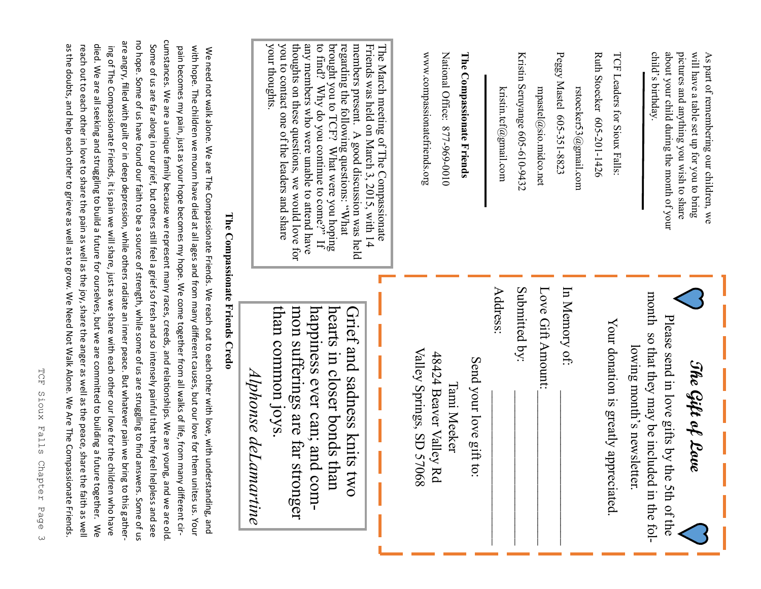| your thoughts<br>thoughts on these questions, we would love for<br>you to contact one of the leaders and share<br>than common joys<br>mon sufferings are far st<br>Alphonse deLa<br>martine<br>tronger                                                                                                          | pain becomes my pain, just as your hope becomes my hope. We come together from all walks of life, from many different cir-<br>with hope. The children we mourn have died at all ages and from many different causes, but our love for them unites us. Your<br>We need not walk alone. We are The Compassionate Friends. We reach out to each ot to each of with understanding, and<br>The Compassionate Friends Credo | The March meeting of The Compassionate<br>www.compassionatefriends.org<br>Peggy Mastel 605-351-8823<br>child's birthday<br>about your child during the month of your<br>pictures and anything you wish to share<br>will have a table set up for you to bring<br>National Office: 877-969-0010<br>The Compassionate Friends<br>Kristin Seruyange 605-610-9432<br>Ruth Stoecker 605-201-1426<br>TCF Leaders for Sioux Falls<br>As part of remembering our children, we<br>kristin.tcf@gmail.com<br>mpastel@sio.midco.net<br>rstoecker53@gmail.com | Submitted by:<br>Love Gift Amount:<br>In Memory of:<br>Address:<br>month so that they may be included in the fol-<br>Grief and sadness knits<br>hearts in closer bonds than<br>Please send in love gifts by th<br>Your donation is greatly appreciated<br>lowing month's newsletter.<br>Valley Springs, SD 57068<br>48424 Beaver Valley Rd<br>Send your love gift to:<br>The Gift of Love<br>Tami Meeker<br>5 <sub>2</sub><br>e 5th of the |
|-----------------------------------------------------------------------------------------------------------------------------------------------------------------------------------------------------------------------------------------------------------------------------------------------------------------|-----------------------------------------------------------------------------------------------------------------------------------------------------------------------------------------------------------------------------------------------------------------------------------------------------------------------------------------------------------------------------------------------------------------------|-------------------------------------------------------------------------------------------------------------------------------------------------------------------------------------------------------------------------------------------------------------------------------------------------------------------------------------------------------------------------------------------------------------------------------------------------------------------------------------------------------------------------------------------------|--------------------------------------------------------------------------------------------------------------------------------------------------------------------------------------------------------------------------------------------------------------------------------------------------------------------------------------------------------------------------------------------------------------------------------------------|
| any members who were unable to attend have<br>to find? Why do you continue to come?" If<br>regarding the following questions: "What brought you to $TCF$ ? What were you hoping<br>members present. A good discussion was held<br>Friends was held on March 3, 2015, with 14<br>happiness ever can; and<br>com- |                                                                                                                                                                                                                                                                                                                                                                                                                       |                                                                                                                                                                                                                                                                                                                                                                                                                                                                                                                                                 |                                                                                                                                                                                                                                                                                                                                                                                                                                            |
|                                                                                                                                                                                                                                                                                                                 |                                                                                                                                                                                                                                                                                                                                                                                                                       |                                                                                                                                                                                                                                                                                                                                                                                                                                                                                                                                                 |                                                                                                                                                                                                                                                                                                                                                                                                                                            |

TCF Sioux Falls Chapter TCF Sioux Falls Chapter Page 3 Page  $\omega$ 

no hope. Some of us have found our faith to be a source of strength, while some of us are struggling to find answers. Some of no hope. Some of us have found our faith to be a source of strength, while some of us are struggling to find answers. Some of us are angry, filled with guilt or in deep depression, while others radiate an inner peace. But whatever pain we bring to this gathering Of The Compassionate Friends, it is pain we will share, just as we share with each other our love for the children who have  $\kappa$ died. We are all seeking and struggling to build a future for ourselves, but we are committed to building a future together. died. We are all seeking and struggling to build a future for ourselves, but we are committed to building a future together. We reach out to each other in love to share the pain as well as the joy, share the anger as well as the peace, share the faith as well as the doubts, and help each other to grieve as well as to grow. We Need Not Walk Alone. We Are The Compassionate Friends.

are angry, filled with guilt or in deep depression, while others radiate an inner peace. But whatever pain we bring to this gather-

ing of The Compassionate Friends, it is pain we will share, just as we share with each other our love for the children who have

as the doubts, and help each other to grieve as well as to grow. We Need Not Walk Alone. We Are The Compassionate Friends. reach out to each other in love to share the pain as well as the joy, share the anger as well as the peace, share the faith as well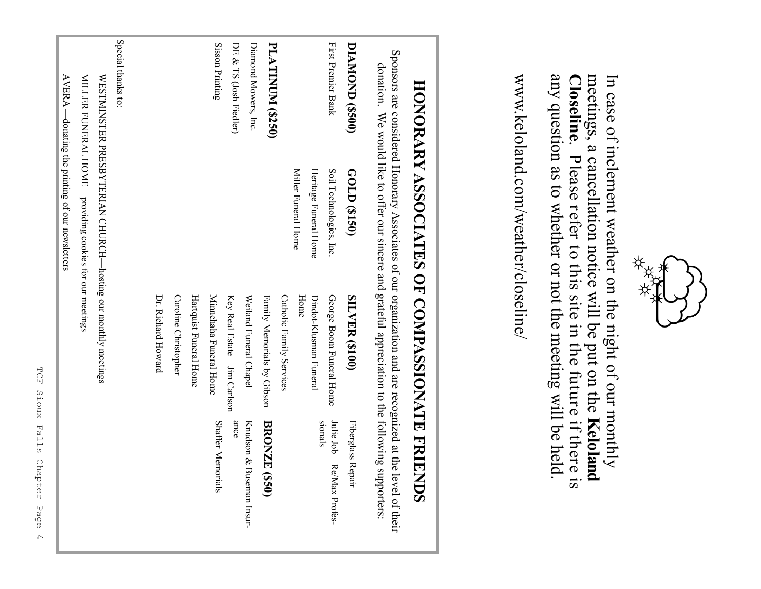

meetings, a cancellation notice will be put on the

meetings, a cancellation notice will be put on the Keloland

. Please refer to this site in the future if there is

Closeline. Please refer to this site in the future if there is

any question as to whether or not the meeting will be held.

any question as to whether or not the meeting will be held.

**Closeline**

www.keloland.com/weather/closeline/

www.keloland.com/weather/closeline/

**Keloland** 

In case of inclement weather on the night of our monthly

In case of inclement weather on the night of our monthly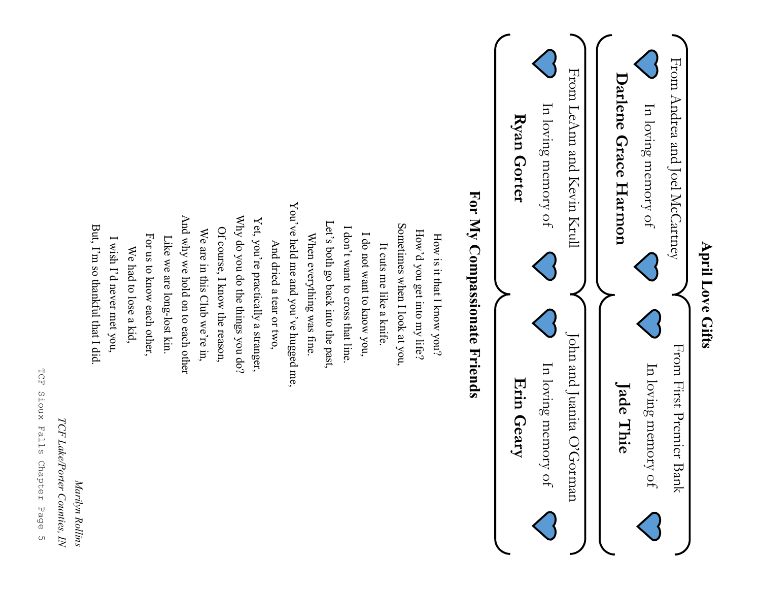

TCF Sioux Falls Chapter Page TCF Sioux Falls Chapter Page 5  $\cup$ 

TCF Lake/Porter Counties, IN *TCF Lake/Porter Counties, IN*

Marilyn Rollins *Marilyn Rollins*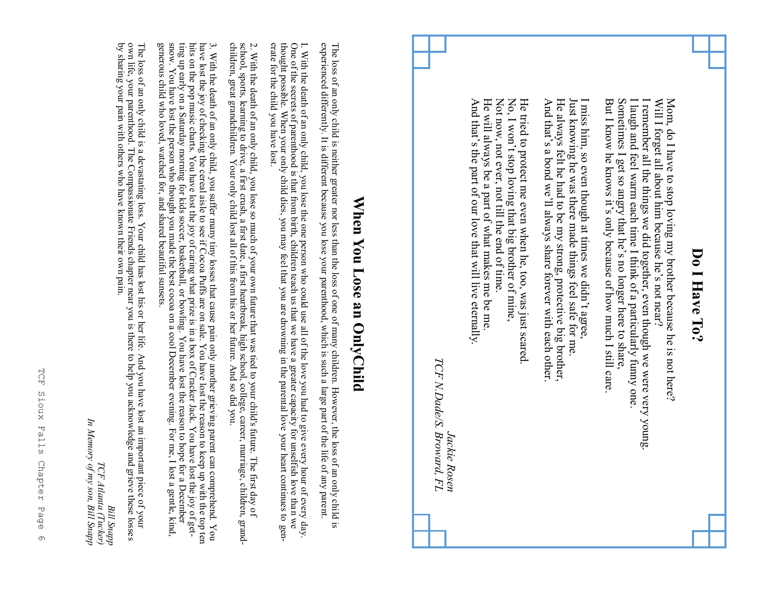| ⊃                   |
|---------------------|
| c                   |
| ▬                   |
| $\blacksquare$<br>۶ |
| ć                   |
| j<br>Ξ<br>∊         |
|                     |

Sometimes I get so angry that he's no longer here to share Mom, do I have to stop loving my brother because he is not here? But I know he knows it's only because of how much I still care But I know he knows it's only because of how much I still care. Sometimes I get so angry that he I laugh and feel warm each time I think of a particularly funny one I laugh and feel warm each time I think of a particularly funny one. I remember all the things we did together, even though we were very young I remember all the things we did together, even though we were very young. Will I forget all about him because he's not near? Will I forget all about him because he Mom, do I have to stop loving my brother because he is not here? 's no longer here to share, 's not near?

He always felt he had to be my strong, protective big brother,<br>And that's a bond we'll always share forever with each other. Just knowing he was there made things feel safe for me I miss him, so even though at times we didn't agree, He always felt he had to be my strong, protective big brother, Just knowing he was there made things feel safe for me. I miss him, so even though at times we didn't agree, 's a bond we'll always share forever with each other.

He will always be a part of what makes me be me He tried to protect me even when he, too, was just scared  $N_0$ , I won't stop loving that big brother of mine, And that's the part of our love that will live eternally He will always be a part of what makes me be me. Not now, not ever, not till the end of time Not now, not ever, not till the end of time. He tried to protect me even when he, too, was just scared. 's the part of our love that will live eternally. 't stop loving that big brother of mine,

 $TCF$  N.Dade/S. Broward, FL *TCF N.Dade/S. Broward, FL* Jackie Rosen *Jackie Rosen*

## **When You Lose an OnlyChild** When You Lose an OnlyChild

The loss of an only child is neither greater nor less than the loss of one of many children. However, the loss of an only child is<br>experienced differently. It is different because you lose your parenthood, which is such a experienced differently. It is different because you lose your parenthood, which is such a large part of the life of any parent. The loss of an only child is neither greater nor less than the loss of one of many children. However, the loss of an only child is

erate for the child you have lost I. With the death of an only child, you lose the one person who could use all of the love you had to give every hour of every day.<br>One of the secrets of parenthood is that from birth, children teach us that we have a grea thought possible. When your only child dies, you may feel that you are drowning in the parental love your heart continues to gen-One of the secrets of parenthood is that from birth, children teach us that we have a greater capacity for unselfish love than we I. With the death of an only child, you lose the one person who could use all of the love you had to give every hour of every

erate for the child you have lost.<br>2. With the death of an only child, you lose so much of your own future that was tied to your child's future. The first day o 2. With the death of an only child, you lose so much of your own future that was tied to your child's future. The first day of school, sports, learning to drive, a first crush, a first date, a first heartbreak, high school school, sports, learning to drive, a first crush, a first date, a first heartbreak, high school, college, career, marriage, children, grand-

3. With the death of an only child, you suffer many tiny losses that cause pain only another grieving parent can comprehend. You have lost the joy of checking the cereal aisle to see if Cocoa Puffs are on sale. You have l generous child who loved, watched for, and shared beautiful sunsets. ting up early on a Saturday morning for kids soccer, basketball, or bowling. You have lost the reason to hope for a December<br>snow. You have lost the person who thought you made the best cocoa on a cool December evening. Fo hits on the pop music charts. You have lost the joy of caring what prize is in a box of Cracker Jack. You have lost the joy of gethave lost the joy of checking the cereal aisle to see if Cocoa Puffs are on sale. You have lost the reason to keep up with the top ten children, great grandchildren. Your only child lost all of this from his or her future. And so did you.<br>3. With the death of an only child, you suffer many tiny losses that cause pain only another grieving parent can compr

by sharing your pain with others who have known their own pain. own life, your parenthood. The Compassionate Friends chapter near you is there to help you acknowledge and grieve these losses The loss of an only child is a devastating loss. Your child has lost his or her life. And you have lost an important piece of your by sharing your pain with others who have known their own pain. own life, your parenthood. The Compassionate Friends chapter near you is there to help you acknowledge and grieve these losses

Ţ *In Memory of my son, Bill Snapp*Memory of my son, Bill Snapp TCF Atlanta (Tucker) *TCF Atlanta (Tucker) Bill Snapp*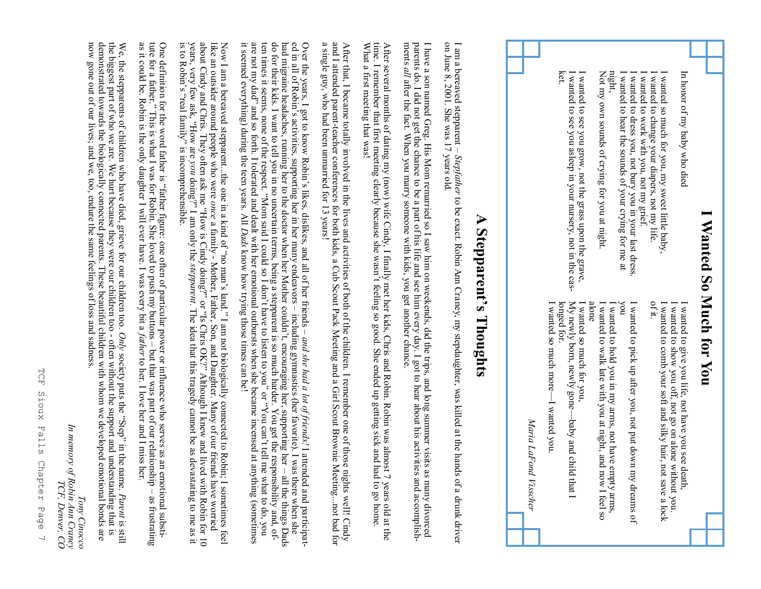| Wanted So Much                                                                                                                                                                                                                                                                                                                                                                                                                                                                                                                                                                                                                                                                                                                                                                                                            | for You                                                                                                                                                                    |
|---------------------------------------------------------------------------------------------------------------------------------------------------------------------------------------------------------------------------------------------------------------------------------------------------------------------------------------------------------------------------------------------------------------------------------------------------------------------------------------------------------------------------------------------------------------------------------------------------------------------------------------------------------------------------------------------------------------------------------------------------------------------------------------------------------------------------|----------------------------------------------------------------------------------------------------------------------------------------------------------------------------|
|                                                                                                                                                                                                                                                                                                                                                                                                                                                                                                                                                                                                                                                                                                                                                                                                                           |                                                                                                                                                                            |
| I wanted to change your diapers, not my life<br>In honor of my baby who died<br>wanted so much for you, my sweet little baby,<br>of it.                                                                                                                                                                                                                                                                                                                                                                                                                                                                                                                                                                                                                                                                                   | I wanted to comb your soft and silky hair, not save a lock<br>I wanted to give you life, not have you see death,<br>I wanted to show you off, not go on alone without you. |
| I wanted to hear the sounds of your crying for me at<br>I wanted to dress you, not bury you in your last dress.<br>wanted to work with you, not my grief.<br>hoy                                                                                                                                                                                                                                                                                                                                                                                                                                                                                                                                                                                                                                                          | I wanted to pick up after you, not put down my dreams of                                                                                                                   |
| mght<br>Not my own sounds of crying for you at night<br>alone                                                                                                                                                                                                                                                                                                                                                                                                                                                                                                                                                                                                                                                                                                                                                             | I wanted to walk late with you at night, and now I feel so<br>I wanted to hold you in my arms, not have empty arms,                                                        |
| ket.<br>I wanted to see you grow, not the grass upon the grave, I wanted to see you asleep in your nursery, not in the cas-<br>longed for.                                                                                                                                                                                                                                                                                                                                                                                                                                                                                                                                                                                                                                                                                | My newly born, newly gone-<br>I wanted so much more-<br>I wanted so much for you,<br>I wanted you<br>-baby and child<br>$1$ that $1$                                       |
|                                                                                                                                                                                                                                                                                                                                                                                                                                                                                                                                                                                                                                                                                                                                                                                                                           | Maria LaFond Visscher                                                                                                                                                      |
| $\blacktriangleright$<br>Stepparent's Thoughts                                                                                                                                                                                                                                                                                                                                                                                                                                                                                                                                                                                                                                                                                                                                                                            |                                                                                                                                                                            |
| I am a bereaved stepparent – Stepfather to be exact. Robin Ann Craney, my stepdaughter, was killed at the hand<br>on June 8, 2001. She was 17 years old.                                                                                                                                                                                                                                                                                                                                                                                                                                                                                                                                                                                                                                                                  | s of a drunk driver                                                                                                                                                        |
| I have a son named Greg. His Mom remarried so I saw him on weekends, did the trips, and long summer visits as many divorced<br>ments all after the fact. When you marry someone with kids, you get another chance.<br>parents do. I did not get the chance to be a part of his life and see him every day. I got to hear about his activities and accomplish-                                                                                                                                                                                                                                                                                                                                                                                                                                                             |                                                                                                                                                                            |
| After several months of dating my (now) wife Cindy, I finally met her kids, Chris and Robin. Robin was almost 7 years old at time. I remember that first meeting clearly because she wasn't feeling so good. She ended up gett<br>What a first meeting that was!                                                                                                                                                                                                                                                                                                                                                                                                                                                                                                                                                          | 7 years old at the                                                                                                                                                         |
| After that, I became totally involved in the lives and activities of both of the children. I remember one of those nights well! Cindy<br>a single guy, who had been unmarried for 13 years!<br>and I attended parent-teacher conferences for both kids, a Cub Scout Pack Meeting and a Girl Scout Brownie Meetingnot bad for                                                                                                                                                                                                                                                                                                                                                                                                                                                                                              |                                                                                                                                                                            |
| had migraine headaches, running her to the doctor when her Mother couldn't, encouraging her, supporting her – all the things Dac do for their kids. I want to tell you in no uncertain terms, being a stepparent is so much ha<br>are not my dad" and so forth. I tolerated and dealt with her emotional outbursts when she became incensed at anything (sometimes<br>ten times it seems, none of the respect. "Mom said I could so I don't have to listen to you" or "You can't tell me<br>Over the years, I got to know Robin's likes, dislikes, and all of her friends – and she had a lot of friends! I attended and participat-<br>ed in all of Robin's activities, supporting her in her many endeavors – including gy<br>it seemed everything) during the teen years. All Dads know how trying those times can be! | all the things Dads<br>what to do, you                                                                                                                                     |
| jike an orisidre randa berbe et booked af an internal of the state of the state of the product of any of our fished who seeks have a mini-<br>Now I am a bereaved stepparentthe one in a kind of "no man's land." I am not biologically connected to Robin; I sometimes feel                                                                                                                                                                                                                                                                                                                                                                                                                                                                                                                                              |                                                                                                                                                                            |

about Cindy and Chris. They often ask me "How is Cindy doing?" or "1s Chris OK?" Although I knew and lived with Robin for 10 years, very few ask, "How are *you* doing?" I am only the *stepparent*. The idea that this trage about Cindy and Chris. They often ask me "How is Cindy doing?" or "Is Chris OK?" Although I knew and lived with Robin for 10 years, very few ask, "How are *you*  $\frac{d}{d}$  doing?" I am only the *stepparent*. The idea that this tragedy cannot be as devastating to me as it is to Robin's "real family" is incomprehensible.

One definition for the word father is "father figure: one often of particular power or influence who serves as an emotional substitute for a father." This is what I was for Robin. She loved to push my buttons – but that w tute for a father." This is what I was for Robin. She loved to push my buttons – as it could be. Robin is the only daughter I will ever have. I was every bit a *father* One definition for the tather is "father figure: one often of particular pod and power or influence who serves as an emotional substitute of  $\alpha$  and  $\alpha$  and  $\alpha$  and  $\alpha$  and  $\alpha$  and  $\alpha$  and  $\alpha$  and  $\alpha$  and  $\alpha$  and but that was part of our relationship – to her. I love her and I miss her. as frustrating as frustrating

We, the stepparents of children who have died, grieve for our children too. *Only* society puts the "Step" in the name. *Parent* is still the biggest part of who we are. We hurt because they were our children too often without the support and understanding that is now gone out of our lives; and we, too, endure the same feelings of loss and sadness. demonstrated towards the biologically connected parents. These beautiful children with whom we developed emotional bonds are

*Tony Cinocco*

Tony Cinocco

*In memory of Robin Ann Craney*

In memory of Robin Am Craney<br>In memory of Robin Am Craney

*TCF, Denver, CO*